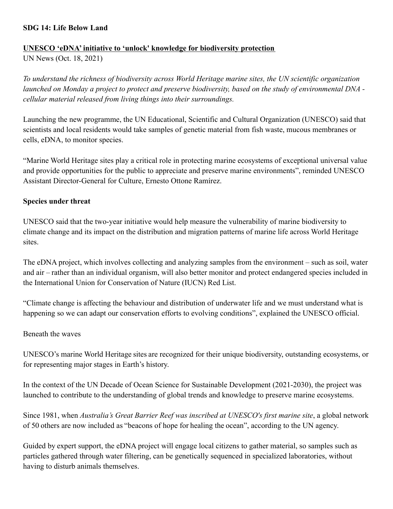### **SDG 14: Life Below Land**

#### **UNESCO 'eDNA' initiative to 'unlock' knowledge for biodiversity protection**

UN News (Oct. 18, 2021)

*To understand the richness of biodiversity across World Heritage marine sites, the UN scientific organization launched on Monday a project to protect and preserve biodiversity, based on the study of environmental DNA cellular material released from living things into their surroundings.*

Launching the new programme, the UN Educational, Scientific and Cultural Organization (UNESCO) said that scientists and local residents would take samples of genetic material from fish waste, mucous membranes or cells, eDNA, to monitor species.

"Marine World Heritage sites play a critical role in protecting marine ecosystems of exceptional universal value and provide opportunities for the public to appreciate and preserve marine environments", reminded UNESCO Assistant Director-General for Culture, Ernesto Ottone Ramírez.

## **Species under threat**

UNESCO said that the two-year initiative would help measure the vulnerability of marine biodiversity to climate change and its impact on the distribution and migration patterns of marine life across World Heritage sites.

The eDNA project, which involves collecting and analyzing samples from the environment – such as soil, water and air – rather than an individual organism, will also better monitor and protect endangered species included in the International Union for Conservation of Nature (IUCN) Red List.

"Climate change is affecting the behaviour and distribution of underwater life and we must understand what is happening so we can adapt our conservation efforts to evolving conditions", explained the UNESCO official.

#### Beneath the waves

UNESCO's marine World Heritage sites are recognized for their unique biodiversity, outstanding ecosystems, or for representing major stages in Earth's history.

In the context of the UN Decade of Ocean Science for Sustainable Development (2021-2030), the project was launched to contribute to the understanding of global trends and knowledge to preserve marine ecosystems.

Since 1981, when *Australia's Great Barrier Reef was inscribed at UNESCO's first marine site*, a global network of 50 others are now included as "beacons of hope for healing the ocean", according to the UN agency.

Guided by expert support, the eDNA project will engage local citizens to gather material, so samples such as particles gathered through water filtering, can be genetically sequenced in specialized laboratories, without having to disturb animals themselves.